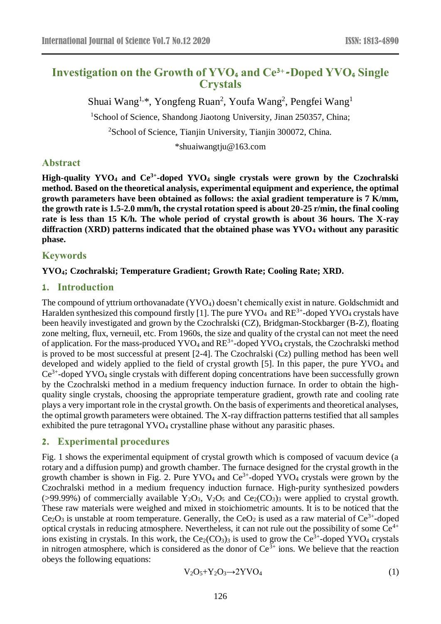# **Investigation on the Growth of YVO<sup>4</sup> and Ce3+-Doped YVO<sup>4</sup> Single Crystals**

Shuai Wang<sup>1,\*</sup>, Yongfeng Ruan<sup>2</sup>, Youfa Wang<sup>2</sup>, Pengfei Wang<sup>1</sup>

<sup>1</sup>School of Science, Shandong Jiaotong University, Jinan 250357, China;

<sup>2</sup>School of Science, Tianjin University, Tianjin 300072, China.

\*shuaiwangtju@163.com

## **Abstract**

**High-quality YVO<sup>4</sup> and Ce3+ -doped YVO<sup>4</sup> single crystals were grown by the Czochralski method. Based on the theoretical analysis, experimental equipment and experience, the optimal growth parameters have been obtained as follows: the axial gradient temperature is 7 K/mm, the growth rate is 1.5-2.0 mm/h, the crystal rotation speed is about 20-25 r/min, the final cooling rate is less than 15 K/h. The whole period of crystal growth is about 36 hours. The X-ray diffraction (XRD) patterns indicated that the obtained phase was YVO<sup>4</sup> without any parasitic phase.**

## **Keywords**

#### **YVO4; Czochralski; Temperature Gradient; Growth Rate; Cooling Rate; XRD.**

## **1. Introduction**

The compound of yttrium orthovanadate (YVO4) doesn't chemically exist in nature. Goldschmidt and Haralden synthesized this compound firstly [1]. The pure  $\text{YVO}_4$  and  $\text{RE}^{3+}$ -doped  $\text{YVO}_4$  crystals have been heavily investigated and grown by the Czochralski (CZ), Bridgman-Stockbarger (B-Z), floating zone melting, flux, verneuil, etc. From 1960s, the size and quality of the crystal can not meet the need of application. For the mass-produced YVO<sub>4</sub> and  $RE^{3+}$ -doped YVO<sub>4</sub> crystals, the Czochralski method is proved to be most successful at present [2-4]. The Czochralski (Cz) pulling method has been well developed and widely applied to the field of crystal growth [5]. In this paper, the pure YVO<sub>4</sub> and Ce<sup>3+</sup>-doped YVO<sub>4</sub> single crystals with different doping concentrations have been successfully grown by the Czochralski method in a medium frequency induction furnace. In order to obtain the highquality single crystals, choosing the appropriate temperature gradient, growth rate and cooling rate plays a very important role in the crystal growth. On the basis of experiments and theoretical analyses, the optimal growth parameters were obtained. The X-ray diffraction patterns testified that all samples exhibited the pure tetragonal YVO<sub>4</sub> crystalline phase without any parasitic phases.

## **2. Experimental procedures**

Fig. 1 shows the experimental equipment of crystal growth which is composed of vacuum device (a rotary and a diffusion pump) and growth chamber. The furnace designed for the crystal growth in the growth chamber is shown in Fig. 2. Pure  $\text{YVO}_4$  and  $\text{Ce}^{3+}$ -doped  $\text{YVO}_4$  crystals were grown by the Czochralski method in a medium frequency induction furnace. High-purity synthesized powders (>99.99%) of commercially available  $Y_2O_3$ ,  $V_2O_5$  and  $Ce_2(CO_3)$ <sub>3</sub> were applied to crystal growth. These raw materials were weighed and mixed in stoichiometric amounts. It is to be noticed that the  $Ce<sub>2</sub>O<sub>3</sub>$  is unstable at room temperature. Generally, the  $CeO<sub>2</sub>$  is used as a raw material of  $Ce<sup>3+</sup>$ -doped optical crystals in reducing atmosphere. Nevertheless, it can not rule out the possibility of some  $\tilde{Ce}^{4+}$ ions existing in crystals. In this work, the  $Ce_2(CO_3)$ <sub>3</sub> is used to grow the  $Ce^{3+}$ -doped YVO<sub>4</sub> crystals in nitrogen atmosphere, which is considered as the donor of  $Ce^{3+}$  ions. We believe that the reaction obeys the following equations:

$$
V_2O_5 + Y_2O_3 \rightarrow 2YVO_4 \tag{1}
$$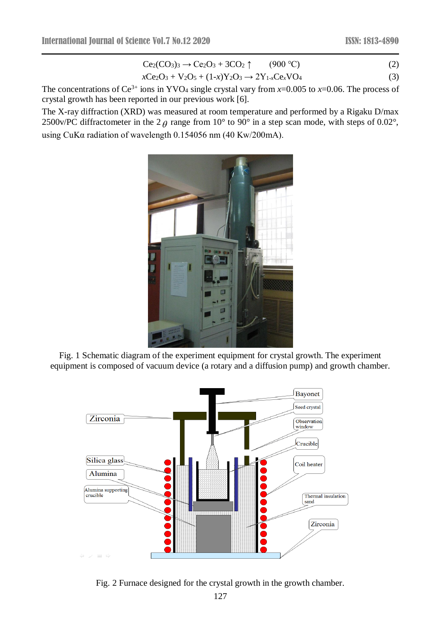$$
Ce2(CO3)3 \rightarrow Ce2O3 + 3CO2 \uparrow
$$
 (900 °C) (2)

$$
xCe2O3 + V2O5 + (1-x)Y2O3 \to 2Y1-xCexVO4
$$
\n(3)

The concentrations of  $Ce^{3+}$  ions in YVO<sub>4</sub> single crystal vary from  $x=0.005$  to  $x=0.06$ . The process of crystal growth has been reported in our previous work [6].

The X-ray diffraction (XRD) was measured at room temperature and performed by a Rigaku D/max 2500v/PC diffractometer in the 2  $\theta$  range from 10° to 90° in a step scan mode, with steps of 0.02°, using CuKα radiation of wavelength 0.154056 nm (40 Kw/200mA).



Fig. 1 Schematic diagram of the experiment equipment for crystal growth. The experiment equipment is composed of vacuum device (a rotary and a diffusion pump) and growth chamber.



Fig. 2 Furnace designed for the crystal growth in the growth chamber.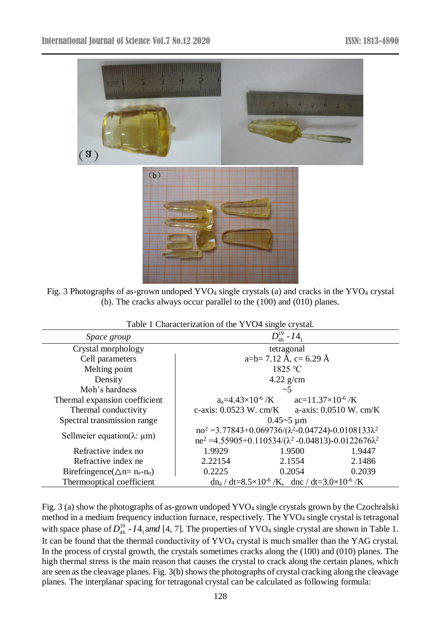

Fig. 3 Photographs of as-grown undoped YVO<sub>4</sub> single crystals (a) and cracks in the YVO<sub>4</sub> crystal (b). The cracks always occur parallel to the (100) and (010) planes.

| <i>Space group</i>                                             | $D_{4h}^{19} - I4_1$                                                   |  |  |  |  |  |  |
|----------------------------------------------------------------|------------------------------------------------------------------------|--|--|--|--|--|--|
| Crystal morphology                                             | tetragonal                                                             |  |  |  |  |  |  |
| Cell parameters                                                | a=b= 7.12 Å, c= 6.29 Å                                                 |  |  |  |  |  |  |
| Melting point                                                  | 1825 °C                                                                |  |  |  |  |  |  |
| Density                                                        | $4.22$ g/cm                                                            |  |  |  |  |  |  |
| Moh's hardness                                                 | $\sim$ 5                                                               |  |  |  |  |  |  |
| Thermal expansion coefficient                                  | $a_a=4.43\times10^{-6}$ /K $ac=11.37\times10^{-6}$ /K                  |  |  |  |  |  |  |
| Thermal conductivity                                           | c-axis: $0.0523$ W. cm/K<br>a-axis: $0.0510$ W. cm/K                   |  |  |  |  |  |  |
| Spectral transmission range                                    | $0.45 - 5 \mu m$                                                       |  |  |  |  |  |  |
|                                                                | $no^2 = 3.77843 + 0.069736/(\lambda^2 - 0.04724) - 0.0108133\lambda^2$ |  |  |  |  |  |  |
| Sellmeier equation( $\lambda$ : $\mu$ m)                       | $ne^2$ =4.55905+0.110534/( $\lambda^2$ -0.04813)-0.0122676 $\lambda^2$ |  |  |  |  |  |  |
| Refractive index no                                            | 1.9929<br>1.9500<br>1.9447                                             |  |  |  |  |  |  |
| Refractive index ne                                            | 2.22154<br>2.1486<br>2.1554                                            |  |  |  |  |  |  |
| Birefringence( $\triangle$ n= n <sub>e</sub> -n <sub>o</sub> ) | 0.2054<br>0.2039<br>0.2225                                             |  |  |  |  |  |  |
| Thermooptical coefficient                                      | $dn_a/dt = 8.5 \times 10^{-6}$ /K, dnc / dt=3.0×10 <sup>-6</sup> /K    |  |  |  |  |  |  |

| Table 1 Characterization of the YVO4 single crystal. |  |  |
|------------------------------------------------------|--|--|
|                                                      |  |  |

Fig. 3 (a) show the photographs of as-grown undoped YVO<sub>4</sub> single crystals grown by the Czochralski method in a medium frequency induction furnace, respectively. The YVO<sub>4</sub> single crystal is tetragonal with space phase of  $D_{4h}^{19}$  -  $I4_1$  and [4, 7]. The properties of YVO<sub>4</sub> single crystal are shown in Table 1. It can be found that the thermal conductivity of YVO<sub>4</sub> crystal is much smaller than the YAG crystal. In the process of crystal growth, the crystals sometimes cracks along the (100) and (010) planes. The high thermal stress is the main reason that causes the crystal to crack along the certain planes, which are seen as the cleavage planes. Fig. 3(b) shows the photographs of crystal cracking along the cleavage planes. The interplanar spacing for tetragonal crystal can be calculated as following formula: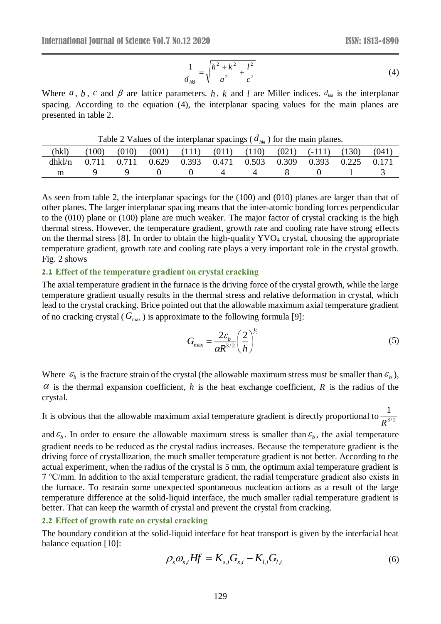$$
\frac{1}{d_{hkl}} = \sqrt{\frac{h^2 + k^2}{a^2} + \frac{l^2}{c^2}}
$$
(4)

Where  $a, b, c$  and  $\beta$  are lattice parameters.  $h, k$  and  $l$  are Miller indices.  $d_{hk}$  is the interplanar spacing. According to the equation (4), the interplanar spacing values for the main planes are presented in table 2.

Table 2 Values of the interplanar spacings ( *dhkl* ) for the main planes.

| (hkl)  | (100) | (010) | (001) | (111)                   | (011) | (110) | (021) | $(-111)$    | (130) | (041  |
|--------|-------|-------|-------|-------------------------|-------|-------|-------|-------------|-------|-------|
| dhkl/n | 0.711 | 0.711 | 0.629 | $0.393$ $0.471$ $0.503$ |       |       | 0.309 | 0.393 0.225 |       | 0.171 |
| m      |       |       |       |                         |       |       |       |             |       |       |

As seen from table 2, the interplanar spacings for the (100) and (010) planes are larger than that of other planes. The larger interplanar spacing means that the inter-atomic bonding forces perpendicular to the (010) plane or (100) plane are much weaker. The major factor of crystal cracking is the high thermal stress. However, the temperature gradient, growth rate and cooling rate have strong effects on the thermal stress [8]. In order to obtain the high-quality YVO<sub>4</sub> crystal, choosing the appropriate temperature gradient, growth rate and cooling rate plays a very important role in the crystal growth. Fig. 2 shows

#### **2.1 Effect of the temperature gradient on crystal cracking**

The axial temperature gradient in the furnace is the driving force of the crystal growth, while the large temperature gradient usually results in the thermal stress and relative deformation in crystal, which lead to the crystal cracking. Brice pointed out that the allowable maximum axial temperature gradient of no cracking crystal ( $G_{\text{max}}$ ) is approximate to the following formula [9]:

$$
G_{\text{max}} = \frac{2\varepsilon_b}{\alpha R^{3/2}} \left(\frac{2}{h}\right)^{\frac{1}{2}}
$$
 (5)

Where  $\varepsilon_b$  is the fracture strain of the crystal (the allowable maximum stress must be smaller than  $\varepsilon_b$ ),  $\alpha$  is the thermal expansion coefficient, h is the heat exchange coefficient, R is the radius of the crystal.

It is obvious that the allowable maximum axial temperature gradient is directly proportional to  $\frac{1}{R^{3/2}}$ 1 *R*

and  $\epsilon_b$ . In order to ensure the allowable maximum stress is smaller than  $\epsilon_b$ , the axial temperature gradient needs to be reduced as the crystal radius increases. Because the temperature gradient is the driving force of crystallization, the much smaller temperature gradient is not better. According to the actual experiment, when the radius of the crystal is 5 mm, the optimum axial temperature gradient is 7 ℃/mm. In addition to the axial temperature gradient, the radial temperature gradient also exists in the furnace. To restrain some unexpected spontaneous nucleation actions as a result of the large temperature difference at the solid-liquid interface, the much smaller radial temperature gradient is better. That can keep the warmth of crystal and prevent the crystal from cracking.

#### **2.2 Effect of growth rate on crystal cracking**

The boundary condition at the solid-liquid interface for heat transport is given by the interfacial heat balance equation [10]:

$$
\rho_s \omega_{s,i} Hf = K_{s,i} G_{s,i} - K_{l,i} G_{l,i} \tag{6}
$$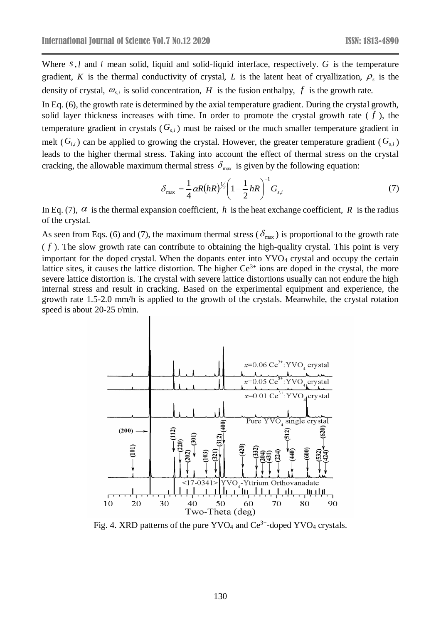Where *s*,*l* and *i* mean solid, liquid and solid-liquid interface, respectively. *G* is the temperature gradient, K is the thermal conductivity of crystal, L is the latent heat of cryallization,  $\rho_s$  is the density of crystal,  $\omega_{s,i}$  is solid concentration, H is the fusion enthalpy, f is the growth rate.

In Eq. (6), the growth rate is determined by the axial temperature gradient. During the crystal growth, solid layer thickness increases with time. In order to promote the crystal growth rate  $(f)$ , the temperature gradient in crystals  $(G_{s,i})$  must be raised or the much smaller temperature gradient in melt ( $G_{l,i}$ ) can be applied to growing the crystal. However, the greater temperature gradient ( $G_{s,i}$ ) leads to the higher thermal stress. Taking into account the effect of thermal stress on the crystal cracking, the allowable maximum thermal stress  $\delta_{\text{max}}$  is given by the following equation:

$$
\delta_{\max} = \frac{1}{4} \alpha R (hR)^{\frac{1}{2}} \left( 1 - \frac{1}{2} hR \right)^{-1} G_{s,i} \tag{7}
$$

In Eq. (7),  $\alpha$  is the thermal expansion coefficient, h is the heat exchange coefficient, R is the radius of the crystal.

As seen from Eqs. (6) and (7), the maximum thermal stress ( $\delta_{\text{max}}$ ) is proportional to the growth rate  $(f)$ . The slow growth rate can contribute to obtaining the high-quality crystal. This point is very important for the doped crystal. When the dopants enter into  $\text{YVO}_4$  crystal and occupy the certain lattice sites, it causes the lattice distortion. The higher  $Ce^{3+}$  ions are doped in the crystal, the more severe lattice distortion is. The crystal with severe lattice distortions usually can not endure the high internal stress and result in cracking. Based on the experimental equipment and experience, the growth rate 1.5-2.0 mm/h is applied to the growth of the crystals. Meanwhile, the crystal rotation speed is about 20-25 r/min.



Fig. 4. XRD patterns of the pure  $\text{YVO}_4$  and  $\text{Ce}^{3+}$ -doped  $\text{YVO}_4$  crystals.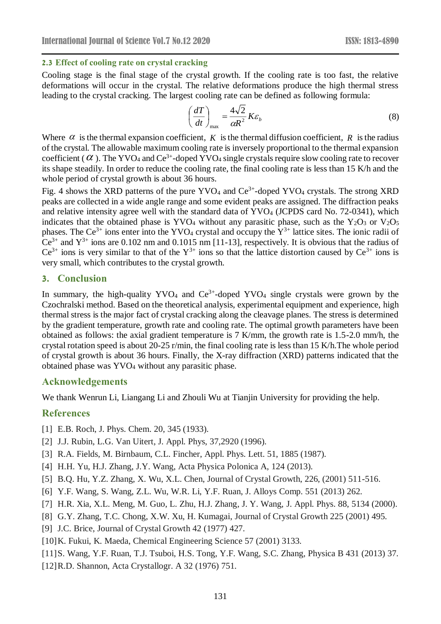## **2.3 Effect of cooling rate on crystal cracking**

Cooling stage is the final stage of the crystal growth. If the cooling rate is too fast, the relative deformations will occur in the crystal. The relative deformations produce the high thermal stress leading to the crystal cracking. The largest cooling rate can be defined as following formula:

$$
\left(\frac{dT}{dt}\right)_{\text{max}} = \frac{4\sqrt{2}}{\alpha R^2} K \varepsilon_b \tag{8}
$$

Where  $\alpha$  is the thermal expansion coefficient, K is the thermal diffusion coefficient, R is the radius of the crystal. The allowable maximum cooling rate is inversely proportional to the thermal expansion coefficient ( $\alpha$ ). The YVO<sub>4</sub> and Ce<sup>3+</sup>-doped YVO<sub>4</sub> single crystals require slow cooling rate to recover its shape steadily. In order to reduce the cooling rate, the final cooling rate is less than 15 K/h and the whole period of crystal growth is about 36 hours.

Fig. 4 shows the XRD patterns of the pure YVO<sub>4</sub> and  $Ce^{3+}$ -doped YVO<sub>4</sub> crystals. The strong XRD peaks are collected in a wide angle range and some evident peaks are assigned. The diffraction peaks and relative intensity agree well with the standard data of YVO<sub>4</sub> (JCPDS card No. 72-0341), which indicates that the obtained phase is YVO<sub>4</sub> without any parasitic phase, such as the Y<sub>2</sub>O<sub>3</sub> or V<sub>2</sub>O<sub>5</sub> phases. The Ce<sup>3+</sup> ions enter into the YVO<sub>4</sub> crystal and occupy the  $Y^{3+}$  lattice sites. The ionic radii of Ce<sup>3+</sup> and  $Y^{3+}$  ions are 0.102 nm and 0.1015 nm [11-13], respectively. It is obvious that the radius of  $Ce^{3+}$  ions is very similar to that of the  $Y^{3+}$  ions so that the lattice distortion caused by  $Ce^{3+}$  ions is very small, which contributes to the crystal growth.

# **3. Conclusion**

In summary, the high-quality YVO<sub>4</sub> and  $Ce^{3+}$ -doped YVO<sub>4</sub> single crystals were grown by the Czochralski method. Based on the theoretical analysis, experimental equipment and experience, high thermal stress is the major fact of crystal cracking along the cleavage planes. The stress is determined by the gradient temperature, growth rate and cooling rate. The optimal growth parameters have been obtained as follows: the axial gradient temperature is 7 K/mm, the growth rate is 1.5-2.0 mm/h, the crystal rotation speed is about 20-25 r/min, the final cooling rate is less than 15 K/h.The whole period of crystal growth is about 36 hours. Finally, the X-ray diffraction (XRD) patterns indicated that the obtained phase was YVO<sup>4</sup> without any parasitic phase.

#### **Acknowledgements**

We thank Wenrun Li, Liangang Li and Zhouli Wu at Tianjin University for providing the help.

## **References**

- [1] E.B. Roch, J. Phys. Chem. 20, 345 (1933).
- [2] J.J. Rubin, L.G. Van Uitert, J. Appl. Phys, 37,2920 (1996).
- [3] R.A. Fields, M. Birnbaum, C.L. Fincher, Appl. Phys. Lett. 51, 1885 (1987).
- [4] H.H. Yu, H.J. Zhang, J.Y. Wang, Acta Physica Polonica A, 124 (2013).
- [5] B.Q. Hu, Y.Z. Zhang, X. Wu, X.L. Chen, Journal of Crystal Growth, 226, (2001) 511-516.
- [6] Y.F. Wang, S. Wang, Z.L. Wu, W.R. Li, Y.F. Ruan, J. Alloys Comp. 551 (2013) 262.
- [7] H.R. Xia, X.L. Meng, M. Guo, L. Zhu, H.J. Zhang, J. Y. Wang, J. Appl. Phys. 88, 5134 (2000).
- [8] G.Y. Zhang, T.C. Chong, X.W. Xu, H. Kumagai, Journal of Crystal Growth 225 (2001) 495.
- [9] J.C. Brice, Journal of Crystal Growth 42 (1977) 427.
- [10]K. Fukui, K. Maeda, Chemical Engineering Science 57 (2001) 3133.
- [11]S. Wang, Y.F. Ruan, T.J. Tsuboi, H.S. Tong, Y.F. Wang, S.C. Zhang, Physica B 431 (2013) 37.
- [12]R.D. Shannon, Acta Crystallogr. A 32 (1976) 751.